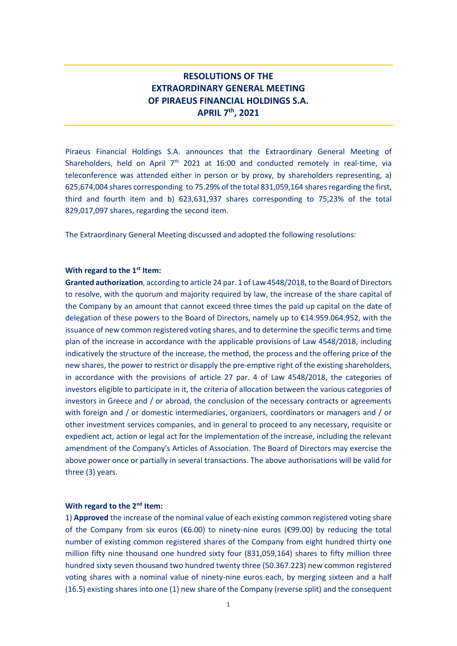# **RESOLUTIONS OF THE EXTRAORDINARY GENERAL MEETING OF PIRAEUS FINANCIAL HOLDINGS S.A. APRIL 7th, 2021**

Piraeus Financial Holdings S.A. announces that the Extraordinary General Meeting of Shareholders, held on April  $7<sup>th</sup>$  2021 at 16:00 and conducted remotely in real-time, via teleconference was attended either in person or by proxy, by shareholders representing, a) 625,674,004 shares corresponding to 75.29% of the total 831,059,164 shares regarding the first, third and fourth item and b) 623,631,937 shares corresponding to 75,23% of the total 829,017,097 shares, regarding the second item.

The Extraordinary General Meeting discussed and adopted the following resolutions:

#### **With regard to the 1st Item:**

**Granted authorization**, according to article 24 par. 1 of Law 4548/2018, to the Board of Directors to resolve, with the quorum and majority required by law, the increase of the share capital of the Company by an amount that cannot exceed three times the paid up capital on the date of delegation of these powers to the Board of Directors, namely up to €14.959.064.952, with the issuance of new common registered voting shares, and to determine the specific terms and time plan of the increase in accordance with the applicable provisions of Law 4548/2018, including indicatively the structure of the increase, the method, the process and the offering price of the new shares, the power to restrict or disapply the pre-emptive right of the existing shareholders, in accordance with the provisions of article 27 par. 4 of Law 4548/2018, the categories of investors eligible to participate in it, the criteria of allocation between the various categories of investors in Greece and / or abroad, the conclusion of the necessary contracts or agreements with foreign and / or domestic intermediaries, organizers, coordinators or managers and / or other investment services companies, and in general to proceed to any necessary, requisite or expedient act, action or legal act for the implementation of the increase, including the relevant amendment of the Company's Articles of Association. The Board of Directors may exercise the above power once or partially in several transactions. The above authorisations will be valid for three (3) years.

### **With regard to the 2nd Item:**

1) **Approved** the increase of the nominal value of each existing common registered voting share of the Company from six euros ( $\epsilon$ 6.00) to ninety-nine euros ( $\epsilon$ 99.00) by reducing the total number of existing common registered shares of the Company from eight hundred thirty one million fifty nine thousand one hundred sixty four (831,059,164) shares to fifty million three hundred sixty seven thousand two hundred twenty three (50.367.223) new common registered voting shares with a nominal value of ninety-nine euros each, by merging sixteen and a half (16.5) existing shares into one (1) new share of the Company (reverse split) and the consequent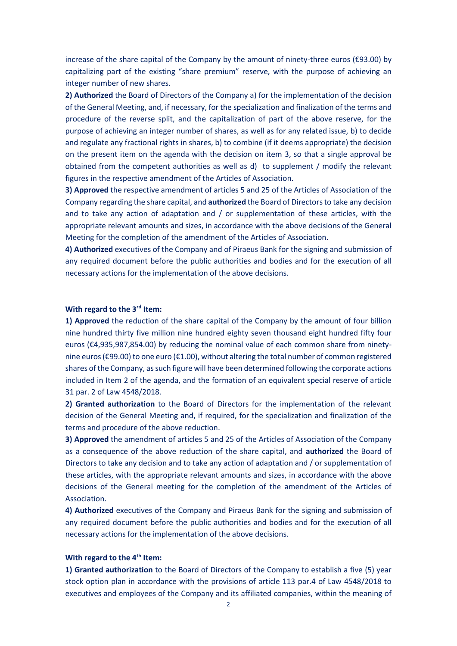increase of the share capital of the Company by the amount of ninety-three euros (€93.00) by capitalizing part of the existing "share premium" reserve, with the purpose of achieving an integer number of new shares.

**2) Authorized** the Board of Directors of the Company a) for the implementation of the decision of the General Meeting, and, if necessary, for the specialization and finalization of the terms and procedure of the reverse split, and the capitalization of part of the above reserve, for the purpose of achieving an integer number of shares, as well as for any related issue, b) to decide and regulate any fractional rights in shares, b) to combine (if it deems appropriate) the decision on the present item on the agenda with the decision on item 3, so that a single approval be obtained from the competent authorities as well as d) to supplement / modify the relevant figures in the respective amendment of the Articles of Association.

**3) Approved** the respective amendment of articles 5 and 25 of the Articles of Association of the Company regarding the share capital, and **authorized** the Board of Directors to take any decision and to take any action of adaptation and / or supplementation of these articles, with the appropriate relevant amounts and sizes, in accordance with the above decisions of the General Meeting for the completion of the amendment of the Articles of Association.

**4) Authorized** executives of the Company and of Piraeus Bank for the signing and submission of any required document before the public authorities and bodies and for the execution of all necessary actions for the implementation of the above decisions.

## **With regard to the 3rd Item:**

**1) Approved** the reduction of the share capital of the Company by the amount of four billion nine hundred thirty five million nine hundred eighty seven thousand eight hundred fifty four euros (€4,935,987,854.00) by reducing the nominal value of each common share from ninetynine euros (€99.00) to one euro (€1.00), without altering the total number of common registered shares of the Company, as such figure will have been determined following the corporate actions included in Item 2 of the agenda, and the formation of an equivalent special reserve of article 31 par. 2 of Law 4548/2018.

**2) Granted authorization** to the Board of Directors for the implementation of the relevant decision of the General Meeting and, if required, for the specialization and finalization of the terms and procedure of the above reduction.

**3) Approved** the amendment of articles 5 and 25 of the Articles of Association of the Company as a consequence of the above reduction of the share capital, and **authorized** the Board of Directors to take any decision and to take any action of adaptation and / or supplementation of these articles, with the appropriate relevant amounts and sizes, in accordance with the above decisions of the General meeting for the completion of the amendment of the Articles of Association.

**4) Authorized** executives of the Company and Piraeus Bank for the signing and submission of any required document before the public authorities and bodies and for the execution of all necessary actions for the implementation of the above decisions.

# **With regard to the 4th Item:**

**1) Granted authorization** to the Board of Directors of the Company to establish a five (5) year stock option plan in accordance with the provisions of article 113 par.4 of Law 4548/2018 to executives and employees of the Company and its affiliated companies, within the meaning of